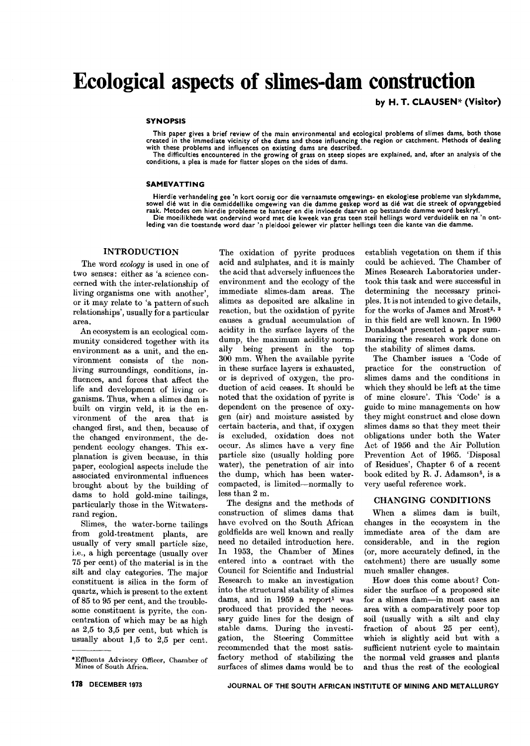# **Ecological aspects of slimes-dam construction**

by H. T. CLAU5EN\* (Visitor)

### **SYNOPSIS**

This paper gives a brief review of the main environmental and ecological problems of slimes dams, both those created in the immediate vicinity of the dams and those influencing the region or catchment. Methods of dealing with these problems and influences on existing dams are described.

The difficulties encountered in the growing of grass on steep slopes are explained, and, after an analysis of the conditions, a plea is made for flatter slopes on the sides of dams.

#### SAMEVATTING

Hierdie verhandeling gee 'n kort oorsig oor die vernaamste omgewings- en ekologiese probleme van slykdamme,<br>sowel dié wat in die onmiddellike omgewing van die damme geskep word as dié wat die streek of opvanggebie raak. Metodes om hierdie probleme te hanteer en die invloede daarvan op bestaande damme word beskryf.

Die moeilikhede wat ondervind word met die kweek van gras teen steil hellings word verduidelik en na 'n ont-leding van die toestande word daar 'n pleidooi gelewer vir platter hellings teen die kante van die damme.

# **INTRODUCTION**

The word *ecology* is used in one of two senses: either as 'a science concerned with the inter-relationship of living organisms one with another', or it may relate to 'a pattern of such relationships', usually for a particular area.

An ecosystem is an ecological community considered together with its environment as a unit, and the environment consists of the nonliving surroundings, conditions, influences, and forces that affect the life and development of living organisms. Thus, when a slimes dam is built on virgin veld, it is the environment of the area that is changed first, and then, because of the changed environment, the dependent ecology changes. This explanation is given because, in this paper, ecological aspects include the associated environmental influences brought about by the building of dams to hold gold-mine tailings, particularly those in the Witwatersrand region.

Slimes, the water-borne tailings from gold-treatment plants, are usually of very small particle size, i.e., a high percentage (usually over 75 per cent) of the material is in the silt and clay categories. The major constituent is silica in the form of quartz, which is present to the extent of 85 to 95 per cent, and the troublesome constituent is pyrite, the concentration of which may be as high as 2,5 to 3,5 per cent, but which is usually about 1,5 to 2,5 per cent.

The oxidation of pyrite produces acid and sulphates, and it is mainly the acid that adversely influences the environment and the ecology of the immediate slimes-dam areas. The slimes as deposited are alkaline in reaction, but the oxidation of pyrite causes a gradual accumulation of acidity in the surface layers of the dump, the maximum acidity normally being present in the top 300 mm. When the available pyrite in these surface layers is exhausted, or is deprived of oxygen, the production of acid ceases. It should be noted that the oxidation of pyrite is dependent on the presence of oxygen (air) and moisture assisted by certain bacteria, and that, if oxygen is excluded, oxidation does not occur. As slimes have a very fine particle size (usually holding pore water), the penetration of air into the dump, which has been watercompacted, is limited-normally to less than 2 m.

The designs and the methods of construction of slimes dams that have evolved on the South African goldfields are well known and really need no detailed introduction here. In 1953, the Chamber of Mines entered into a contract with the Council for Scientific and Industrial Research to make an investigation into the structural stability of slimes dams, and in 1959 a report<sup>1</sup> was produced that provided the necessary guide lines for the design of stable dams. During the investigation, the Steering Committee recommended that the most satisfactory method of stabilizing the surfaces of slimes dams would be to

establish vegetation on them if this could be achieved. The Chamber of Mines Research Laboratories undertook this task and were successful in determining the necessary principles. It is not intended to give details, for the works of James and Mrost<sup>2, 3</sup> in this field are well known. In 1960 Donaldson4 presented a paper summarizing the research work done on the stability of slimes dams.

The Chamber issues a 'Code of practice for the construction of slimes dams and the conditions in which they should be left at the time of mine closure'. This 'Code' is a guide to mine managements on how they might construct and close down slimes dams so that they meet their obligations under both the Water Act of 1956 and the Air Pollution Prevention Act of 1965. 'Disposal of Residues', Chapter 6 of a recent book edited by R. J. Adamson<sup>5</sup>, is a very useful reference work.

## CHANGING CONDITIONS

When a slimes dam is built, changes in the ecosystem in the immediate area of the dam are considerable, and in the region (or, more accurately defined, in the catchment) there are usually some much smaller changes.

How does this come about? Consider the surface of a proposed site for a slimes dam-in most cases an area with a comparatively poor top soil (usually with a silt and clay fraction of about 25 per cent), which is slightly acid but with a sufficient nutrient cycle to maintain the normal veld grasses and plants and thus the rest of the ecological

<sup>\*</sup>Effluents Advisory Officer, Chamber of Mines of South Africa.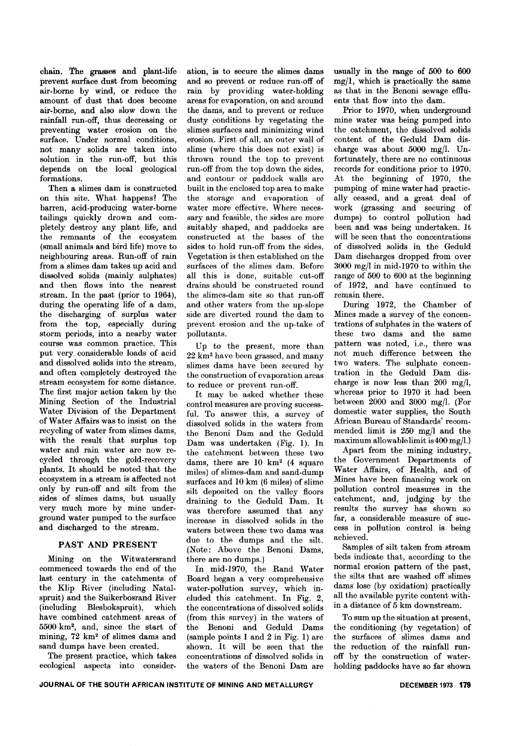chain. The grasses and plant-life prevent surface dust from becoming air-borne by wind, or reduce the amount of dust that does become air-borne, and also slow down the rainfall run-off, thus decreasing or preventing water erosion on the surface. Under normal conditions, not many solids are taken into solution in the run-off, but this depends on the local geological formations.

Then a slimes dam is constructed on this site. What happens? The barren, acid-producing water-borne tailings quickly drown and completely destroy any plant life, and the remnants of the ecosystem (small animals and bird life) move to neighbouring areas. Run-off of rain from a slimes dam takes up acid and dissolved solids (mainly sulphates) and then flows into the nearest stream. In the past (prior to 1964), during the operating life of a dam, the discharging of surplus water from the top, especially during storm periods, into a nearby water course was common practice. This put very considerable loads of acid and dissolved solids into the stream, and often completely destroyed the stream ecosystem for some distance. The first major action taken by the Mining Section of the Industrial Water Division of the Department of Water Affairs was to insist on the recycling of water from slimes dams, with the result that surplus top water and rain water are now recycled through the gold-recovery plants. It should be noted that the ecosystem in a stream is affected not only by run-off and silt from the sides of slimes dams, but usually very much more by mine underground water pumped to the surface and discharged to the stream.

# PAST AND PRESENT

Mining on the Witwatersrand commenced towards the end of the last century in the catchments of the Klip River (including Natalspruit) and the Suikerbosrand River (including Blesbokspruit), which have combined catchment areas of 5500 km2, and, since the start of mining, 72 km2 of slimes dams and sand dumps have been created.

The present practice, which takes ecological aspects into consider-

ation, is to secure the slimes dams and so prevent or reduce run-off of rain by providing water-holding areas for evaporation, on and around the dams, and to prevent or reduce dusty conditions by vegetating the slimes surfaces and minimizing wind erosion. First of all, an outer wall of slime (where this does not exist) is thrown round the top to prevent run-off from the top down the sides, and contour or paddock walls are built in the enclosed top area to make the storage and evaporation of water more effective. Where necessary and feasible, the sides are more suitably shaped, and paddocks are constructed at the bases of the sides to hold run-off from the sides. Vegetation is then established on the surfaces of the slimes dam. Before all this is done, suitable cut-off drains should be constructed round the slimes-dam site so that run-off and other waters from the up-slope side are diverted round the dam to prevent erosion and the up-take of pollutants.

Up to the present, more than 22 km2 have been grassed, and many slimes dams have been secured by the construction of evaporation areas to reduce or prevent run-off.

It may be asked whether these control measures are proving successful. To answer this, a survey of dissolved solids in the waters from the Benoni Dam and the Geduld Dam was undertaken (Fig. 1). In the catchment between these two dams, there are 10 km2 (4 square miles) of slimes-dam and sand-dump surfaces and 10 km (6 miles) of slime silt deposited on the valley floors draining to the Geduld Dam. It was therefore assumed that any increase in dissolved solids in the waters between these two dams was due to the dumps and the silt. (Note: Above the Benoni Dams, there are no dumps.)

In mid-1970, the Rand Water Board began a very comprehensive water-pollution survey, which included this catchment. In Fig. 2, the concentrations of dissolved solids (from this survey) in the waters of the Benoni and Geduld Dams (sample points 1 and 2 in Fig. 1) are shown. It will be seen that the concentrations of dissolved solids in the waters of the Benoni Dam are usually in the range of 500 to 600 mg/l, which is practically the same as that in the Benoni sewage effluents that flow into the dam.

Prior to 1970, when underground mine water was being pumped into the catchment, the dissolved solids content of the Geduld Dam discharge was about 5000 mg/I. Unfortunately, there are no continuous records for conditions prior to 1970. At the beginning of 1970, the pumping of mine water had practically ceased, and a great deal of work (grassing and securing of dumps) to control pollution had been and was being undertaken. It will be seen that the concentrations of dissolved solids in the Geduld Dam discharges dropped from over  $3000 \text{ mg/l}$  in mid-1970 to within the range of 500 to 600 at the beginning of 1972, and have continued to remain there.

During 1972, the Chamber of Mines made a survey of the concentrations of sulphates in the waters of these two dams and the same pattern was noted, i.e., there was not much difference between the two waters. The sulphate concentration in the Geduld Dam discharge is now less than 200 mg/l, whereas prior to 1970 it had been between 2000 and 3000 mg/I. (For domestic water supplies, the South African Bureau of Standards' recommended limit is 250 mg/l and the maximum allowable limit is 400 mg/I.)

Apart from the mining industry, the Government Departments of Water Affairs, of Health, and of Mines have been financing work on pollution control measures in the catchment, and, judging by the results the survey has shown so far, a considerable measure of success in pollution control is being achieved.

Samples of silt taken from stream beds indicate that, according to the normal erosion pattern of the past, the silts that are washed off slimes dams lose (by oxidation) practically all the available pyrite content within a distance of 5 km downstream.

To sum up the situation at present, the conditioning (by vegetation) of the surfaces of slimes dams and the reduction of the rainfall runoff by the construction of waterholding paddocks have so far shown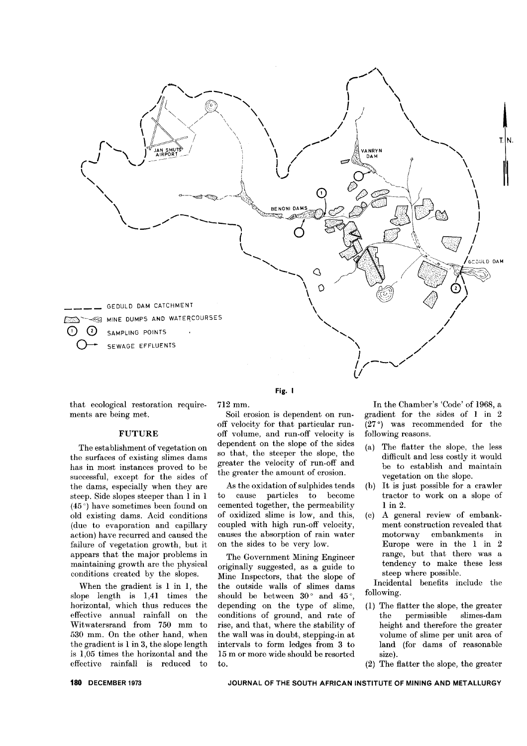

Fig. I

that ecological restoration requirements are being met.

# FUTURE

The establishment of vegetation on the surfaces of existing slimes dams has in most instances proved to be successful, except for the sides of the dams, especially when they are steep. Side slopes steeper than 1 in 1  $(45\degree)$  have sometimes been found on old existing dams. Acid conditions (due to evaporation and capillary action) have recurred and caused the failure of vegetation growth, but it appears that the major problems in maintaining growth are the physical conditions created by the slopes.

When the gradient is 1 in 1, the slope length is 1,41 times the horizontal, which thus reduces the effective annual rainfall on the Witwatersrand from 750 mm to 530 mm. On the other hand, when the gradient is 1 in 3, the slope length is 1,05 times the horizontal and the effective rainfall is reduced to 712 mm.

Soil erosion is dependent on runoff velocity for that particular runoff volume, and run-off velocity is dependent on the slope of the sides so that, the steeper the slope, the greater the velocity of run-off and the greater the amount of erosion.

As the oxidation of sulphides tends to cause particles to become cemented together, the permeability of oxidized slime is low, and this, coupled with high run-off velocity, causes the absorption of rain water on the sides to be very low.

The Government Mining Engineer originally suggested, as a guide to Mine Inspectors, that the slope of the outside walls of slimes dams should be between  $30^{\circ}$  and  $45^{\circ}$ , depending on the type of slime, conditions of ground, and rate of rise, and that, where the stability of the wall was in doubt, stepping-in at intervals to form ledges from 3 to 15 m or more wide should be resorted to.

In the Chamber's 'Code' of 1968, a gradient for the sides of 1 in 2  $(27°)$  was recommended for the following reasons.

- (a) The flatter the slope, the less difficult and less costly it would be to establish and maintain vegetation on the slope.
- (b) It is just possible for a crawler tractor to work on a slope of 1 in 2.
- (c) A general review of embankment construction revealed that motorway embankments in Europe were in the 1 in 2 range, but that there was a tendency to make these less steep where possible.

Incidental benefits include the following.

- (1) The flatter the slope, the greater the permissible slimes-dam height and therefore the greater volume of slime per unit area of land (for dams of reasonable size).
- (2) The flatter the slope, the greater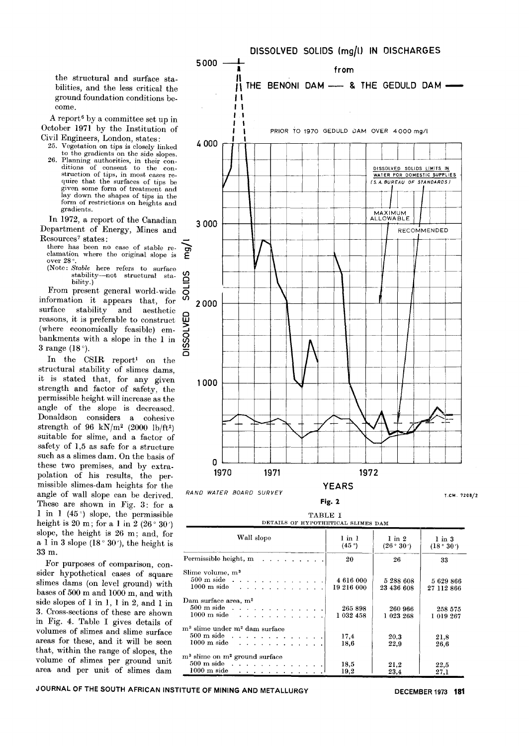the structural and surface stabilities, and the less critical the ground foundation conditions become.

A report6 by a committee set up in October 1971 by the Institution of Civil Engineers, London, states:

- 25. Vegetation on tips is closely linked
- to the gradients on the side slopes. 26. Planning authorities, in their con-ditions of consent to the con-struction of tips, in most cases require that the surfaces of tips be given some form of treatment and lay down the shapes of tips in the form of restrictions on heights and gradients.

In 1972, a report of the Canadian Department of Energy, Mines and Resources<sup>7</sup> states:

there has been no case of stable reclamation where the original slope is over 28

(Note: *Stable* here refers to surface stability-not structural sta-<br>bility.)

From present general world-wide  $\overline{G}$ <br>formation it ennears that for  $\Omega$ information it appears that, for information it appears that, for  $\frac{3}{2}$  2000<br>surface stability and aesthetic<br>reasons, it is preferable to construct  $\frac{10}{2}$ <br>(where economically feasible) em-<br>bankments with a slope in the 1 in  $\frac{20}{20}$ <br>3 range (1 reasons, it is preferable to construct (where economically feasible) embankments with a slope in the 1 in  $\frac{50}{10}$  3 range (18<sup>o</sup>).

In the CSIR report! on the structural stability of slimes dams, it is stated that, for any given strength and factor of safety, the permissible height will increase as the angle of the slope is decreased. Donaldson considers a cohesive strength of  $96 \text{ kN/m}^2$  (2000 lb/ft<sup>2</sup>) suitable for slime, and a factor of safety of 1,5 as safe for a structure such as a slimes dam. On the basis of these two premises, and by extrapolation of his results, the permissible slimes-dam heights for the angle of wall slope can be derived. RAND WATER BOARD SURVE These are shown in Fig. 3: for a 1 in 1 (45 $^{\circ}$ ) slope, the permissible height is 20 m; for a 1 in 2 (26 $^{\circ}$  30') slope, the height is 26 m; and, for a 1 in 3 slope (18 $^{\circ}$  30'), the height is 33 m.

For purposes of comparison, consider hypothetical cases of square slimes dams (on level ground) with bases of 500 m and 1000 m, and with side slopes of 1 in 1, 1 in 2, and 1 in 3. Cross-sections of these are shown in Fig. 4. Table I gives details of volumes of slimes and slime surface areas for these, and it will be seen that, within the range of slopes, the volume of slimes per ground unit area and per unit of slimes dam



TABLE I DETAILS OF HYPOTHETICAL SLIMES DAM  $\overline{1}$ 

| Wall slope                                                                                                                                                                                       | $1$ in $1$<br>(45°)     | $1$ in $2$<br>(26°30')  | $1$ in $3$<br>(18°30')  |
|--------------------------------------------------------------------------------------------------------------------------------------------------------------------------------------------------|-------------------------|-------------------------|-------------------------|
| Permissible height, m $\ldots$ , $\ldots$                                                                                                                                                        | 20                      | 26                      | 33                      |
| Slime volume, m <sup>3</sup><br>$500 \text{ m}$ side $\ldots$<br>$1000~{\rm m}$ side<br>and the second contract of the second                                                                    | 4 616 000<br>19 216 000 | 5 288 608<br>23 436 608 | 5 629 866<br>27 112 866 |
| Dam surface area, m <sup>2</sup><br>$500 \text{ m}$ side $\ldots$ $\ldots$ $\ldots$ $\ldots$ $\ldots$ $\ldots$                                                                                   | 265 898<br>1 032 458    | 260 966<br>1 023 268    | 258 575<br>1 019 267    |
| m <sup>3</sup> slime under m <sup>2</sup> dam surface<br>$500 \text{ m}$ side $\ldots$ $\ldots$ $\ldots$ $\ldots$ $\ldots$<br>$1000 \text{ m}$ side $\ldots$ $\ldots$ $\ldots$ $\ldots$ $\ldots$ | 17,4<br>18,6            | 20,3<br>22,9            | 21,8<br>26,6            |
| m <sup>3</sup> slime on m <sup>2</sup> ground surface<br>$500 \text{ m}$ side $\ldots$<br>$1000 \text{ m}$ side $\cdots$ $\cdots$ $\cdots$ $\cdots$ $\cdots$                                     | 18,5<br>19,2            | 21,2<br>23,4            | 22,5<br>27.1            |

JOURNAL OF THE SOUTH AFRICAN INSTITUTE OF MINING AND METALLURGY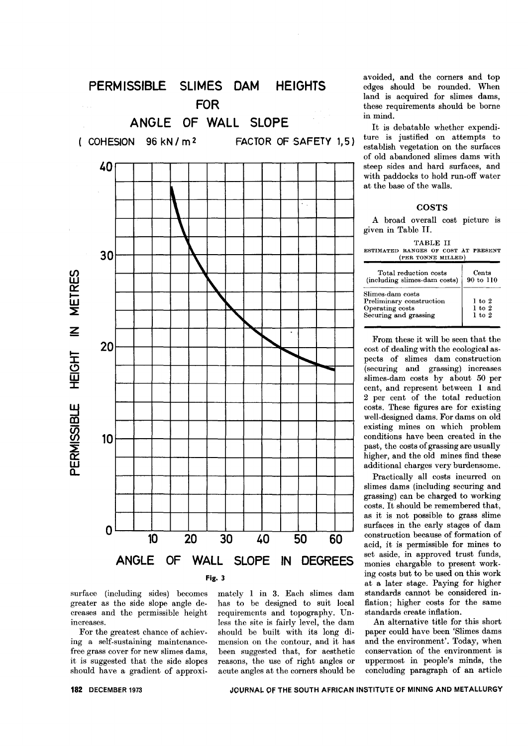

surface (including sides) becomes greater as the side slope angle decreases and the permissible height increases.

For the greatest chance of achieving a self-sustaining maintenancefree grass cover for new slimes dams, it is suggested that the side slopes should have a gradient of approximately 1 in 3. Each slimes dam has to be designed to suit local requirements and topography. Unless the site is fairly level, the dam should be built with its long di. mension on the contour, and it has been suggested that, for aesthetic reasons, the use of right angles or acute angles at the corners should be

avoided, and the corners and top edges should be rounded. When land is acquired for slimes dams, these requirements should be borne in mind.

It is debatable whether expenditure is justified on attempts to establish vegetation on the surfaces of old abandoned slimes dams with steep sides and hard surfaces, and with paddocks to hold run-off water at the base of the walls.

# **COSTS**

A broad overall cost picture is given in Table H.

|                                     | TABLE II |                    |  |
|-------------------------------------|----------|--------------------|--|
| ESTIMATED RANGES OF COST AT PRESENT |          |                    |  |
|                                     |          | (PER TONNE MILLED) |  |
|                                     |          |                    |  |

| Total reduction costs                                                                    | Cents                                  |  |
|------------------------------------------------------------------------------------------|----------------------------------------|--|
| (including slimes-dam costs)                                                             | 90 to 110                              |  |
| Slimes-dam costs<br>Preliminary construction<br>Operating costs<br>Securing and grassing | $1$ to $2$<br>$1$ to $2$<br>$1$ to $2$ |  |

From these it will be seen that the cost of dealing with the ecological aspects of slimes dam construction (securing and grassing) increases slimes-dam costs by about 50 per cent, and represent between 1 and 2 per cent of the total reduction costs. These figures are for existing well-designed dams. For dams on old existing mines on which problem conditions have been created in the past, the costs of grassing are usually higher, and the old mines find these additional charges very burdensome.

Practically all costs incurred on slimes dams (including securing and grassing) can be charged to working costs. It should be remembered that, as it is not possible to grass slime surfaces in the early stages of dam construction because of formation of acid, it is permissible for mines to set aside, in approved trust funds, monies chargable to present working costs but to be used on this work at a later stage. Paying for higher standards cannot be considered inflation; higher costs for the same standards create inflation.

An alternative title for this short paper could have been 'Slimes dams and the environment'. Today, when conservation of the environment is uppermost in people's minds, the concluding paragraph of an article